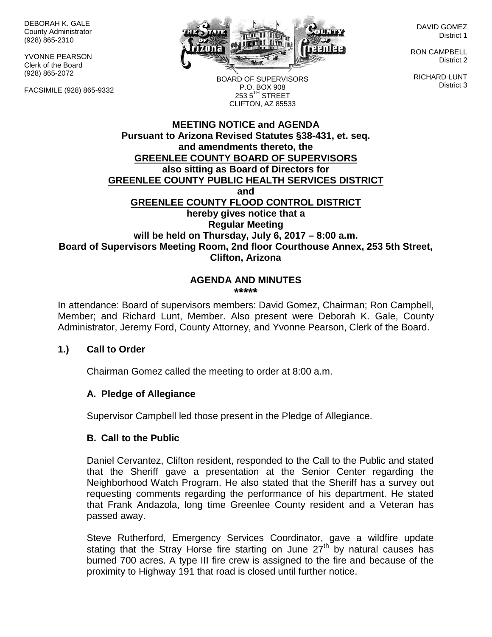DEBORAH K. GALE County Administrator (928) 865-2310

YVONNE PEARSON Clerk of the Board (928) 865-2072

FACSIMILE (928) 865-9332



DAVID GOMEZ District 1

RON CAMPBELL District 2

RICHARD LUNT District 3

BOARD OF SUPERVISORS P.O. BOX 908  $253.5$ <sup>TH</sup> STREET CLIFTON, AZ 85533

## **MEETING NOTICE and AGENDA Pursuant to Arizona Revised Statutes §38-431, et. seq. and amendments thereto, the GREENLEE COUNTY BOARD OF SUPERVISORS also sitting as Board of Directors for GREENLEE COUNTY PUBLIC HEALTH SERVICES DISTRICT and GREENLEE COUNTY FLOOD CONTROL DISTRICT hereby gives notice that a Regular Meeting will be held on Thursday, July 6, 2017 – 8:00 a.m. Board of Supervisors Meeting Room, 2nd floor Courthouse Annex, 253 5th Street, Clifton, Arizona**

#### **AGENDA AND MINUTES \*\*\*\*\***

In attendance: Board of supervisors members: David Gomez, Chairman; Ron Campbell, Member; and Richard Lunt, Member. Also present were Deborah K. Gale, County Administrator, Jeremy Ford, County Attorney, and Yvonne Pearson, Clerk of the Board.

## **1.) Call to Order**

Chairman Gomez called the meeting to order at 8:00 a.m.

## **A. Pledge of Allegiance**

Supervisor Campbell led those present in the Pledge of Allegiance.

## **B. Call to the Public**

Daniel Cervantez, Clifton resident, responded to the Call to the Public and stated that the Sheriff gave a presentation at the Senior Center regarding the Neighborhood Watch Program. He also stated that the Sheriff has a survey out requesting comments regarding the performance of his department. He stated that Frank Andazola, long time Greenlee County resident and a Veteran has passed away.

Steve Rutherford, Emergency Services Coordinator, gave a wildfire update stating that the Stray Horse fire starting on June 27<sup>th</sup> by natural causes has burned 700 acres. A type III fire crew is assigned to the fire and because of the proximity to Highway 191 that road is closed until further notice.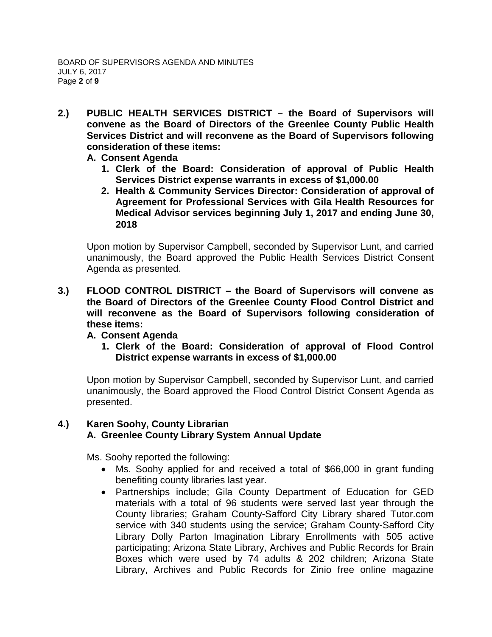- **2.) PUBLIC HEALTH SERVICES DISTRICT – the Board of Supervisors will convene as the Board of Directors of the Greenlee County Public Health Services District and will reconvene as the Board of Supervisors following consideration of these items:**
	- **A. Consent Agenda**
		- **1. Clerk of the Board: Consideration of approval of Public Health Services District expense warrants in excess of \$1,000.00**
		- **2. Health & Community Services Director: Consideration of approval of Agreement for Professional Services with Gila Health Resources for Medical Advisor services beginning July 1, 2017 and ending June 30, 2018**

Upon motion by Supervisor Campbell, seconded by Supervisor Lunt, and carried unanimously, the Board approved the Public Health Services District Consent Agenda as presented.

**3.) FLOOD CONTROL DISTRICT – the Board of Supervisors will convene as the Board of Directors of the Greenlee County Flood Control District and will reconvene as the Board of Supervisors following consideration of these items:**

## **A. Consent Agenda**

**1. Clerk of the Board: Consideration of approval of Flood Control District expense warrants in excess of \$1,000.00**

Upon motion by Supervisor Campbell, seconded by Supervisor Lunt, and carried unanimously, the Board approved the Flood Control District Consent Agenda as presented.

## **4.) Karen Soohy, County Librarian A. Greenlee County Library System Annual Update**

Ms. Soohy reported the following:

- Ms. Soohy applied for and received a total of \$66,000 in grant funding benefiting county libraries last year.
- Partnerships include; Gila County Department of Education for GED materials with a total of 96 students were served last year through the County libraries; Graham County-Safford City Library shared Tutor.com service with 340 students using the service; Graham County-Safford City Library Dolly Parton Imagination Library Enrollments with 505 active participating; Arizona State Library, Archives and Public Records for Brain Boxes which were used by 74 adults & 202 children; Arizona State Library, Archives and Public Records for Zinio free online magazine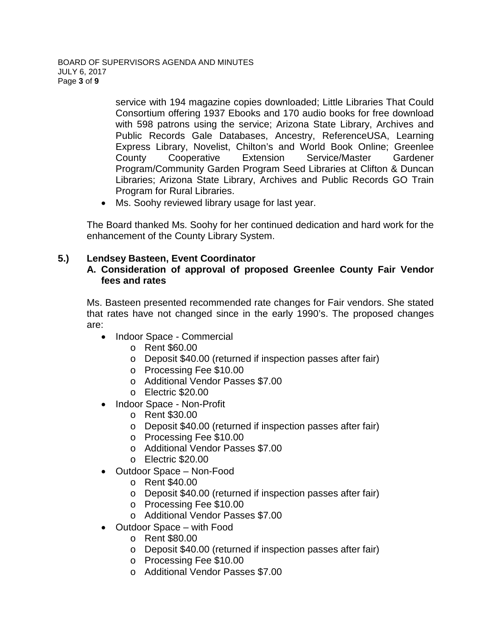service with 194 magazine copies downloaded; Little Libraries That Could Consortium offering 1937 Ebooks and 170 audio books for free download with 598 patrons using the service; Arizona State Library, Archives and Public Records Gale Databases, Ancestry, ReferenceUSA, Learning Express Library, Novelist, Chilton's and World Book Online; Greenlee County Cooperative Extension Service/Master Gardener Program/Community Garden Program Seed Libraries at Clifton & Duncan Libraries; Arizona State Library, Archives and Public Records GO Train Program for Rural Libraries.

• Ms. Soohy reviewed library usage for last year.

The Board thanked Ms. Soohy for her continued dedication and hard work for the enhancement of the County Library System.

## **5.) Lendsey Basteen, Event Coordinator**

## **A. Consideration of approval of proposed Greenlee County Fair Vendor fees and rates**

Ms. Basteen presented recommended rate changes for Fair vendors. She stated that rates have not changed since in the early 1990's. The proposed changes are:

- Indoor Space Commercial
	- o Rent \$60.00
	- o Deposit \$40.00 (returned if inspection passes after fair)
	- o Processing Fee \$10.00
	- o Additional Vendor Passes \$7.00
	- o Electric \$20.00
- Indoor Space Non-Profit
	- o Rent \$30.00
	- o Deposit \$40.00 (returned if inspection passes after fair)
	- o Processing Fee \$10.00
	- o Additional Vendor Passes \$7.00
	- o Electric \$20.00
- Outdoor Space Non-Food
	- o Rent \$40.00
	- o Deposit \$40.00 (returned if inspection passes after fair)
	- o Processing Fee \$10.00
	- o Additional Vendor Passes \$7.00
- Outdoor Space with Food
	- o Rent \$80.00
	- o Deposit \$40.00 (returned if inspection passes after fair)
	- o Processing Fee \$10.00
	- o Additional Vendor Passes \$7.00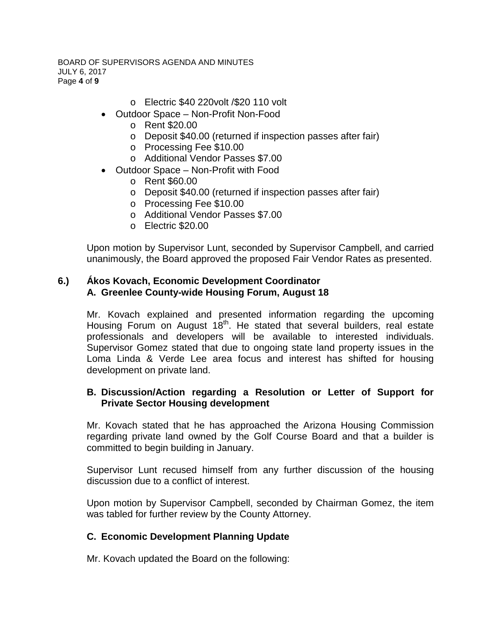#### BOARD OF SUPERVISORS AGENDA AND MINUTES JULY 6, 2017 Page **4** of **9**

- o Electric \$40 220volt /\$20 110 volt
- Outdoor Space Non-Profit Non-Food
	- o Rent \$20.00
	- o Deposit \$40.00 (returned if inspection passes after fair)
	- o Processing Fee \$10.00
	- o Additional Vendor Passes \$7.00
- Outdoor Space Non-Profit with Food
	- o Rent \$60.00
	- o Deposit \$40.00 (returned if inspection passes after fair)
	- o Processing Fee \$10.00
	- o Additional Vendor Passes \$7.00
	- o Electric \$20.00

Upon motion by Supervisor Lunt, seconded by Supervisor Campbell, and carried unanimously, the Board approved the proposed Fair Vendor Rates as presented.

#### **6.) Ákos Kovach, Economic Development Coordinator A. Greenlee County-wide Housing Forum, August 18**

Mr. Kovach explained and presented information regarding the upcoming Housing Forum on August 18<sup>th</sup>. He stated that several builders, real estate professionals and developers will be available to interested individuals. Supervisor Gomez stated that due to ongoing state land property issues in the Loma Linda & Verde Lee area focus and interest has shifted for housing development on private land.

## **B. Discussion/Action regarding a Resolution or Letter of Support for Private Sector Housing development**

Mr. Kovach stated that he has approached the Arizona Housing Commission regarding private land owned by the Golf Course Board and that a builder is committed to begin building in January.

Supervisor Lunt recused himself from any further discussion of the housing discussion due to a conflict of interest.

Upon motion by Supervisor Campbell, seconded by Chairman Gomez, the item was tabled for further review by the County Attorney.

## **C. Economic Development Planning Update**

Mr. Kovach updated the Board on the following: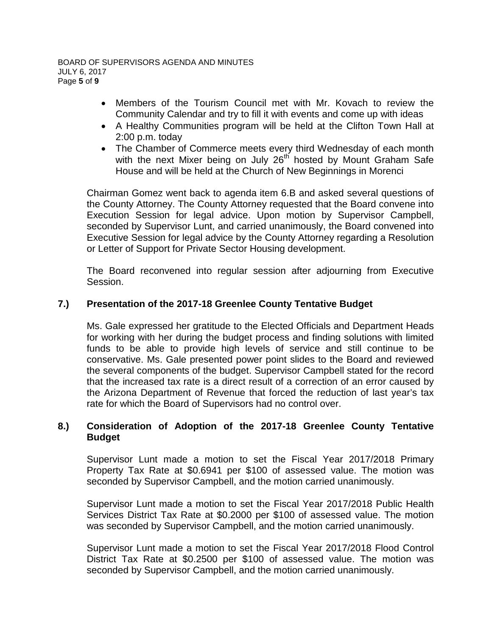- Members of the Tourism Council met with Mr. Kovach to review the Community Calendar and try to fill it with events and come up with ideas
- A Healthy Communities program will be held at the Clifton Town Hall at 2:00 p.m. today
- The Chamber of Commerce meets every third Wednesday of each month with the next Mixer being on July  $26<sup>th</sup>$  hosted by Mount Graham Safe House and will be held at the Church of New Beginnings in Morenci

Chairman Gomez went back to agenda item 6.B and asked several questions of the County Attorney. The County Attorney requested that the Board convene into Execution Session for legal advice. Upon motion by Supervisor Campbell, seconded by Supervisor Lunt, and carried unanimously, the Board convened into Executive Session for legal advice by the County Attorney regarding a Resolution or Letter of Support for Private Sector Housing development.

The Board reconvened into regular session after adjourning from Executive Session.

## **7.) Presentation of the 2017-18 Greenlee County Tentative Budget**

Ms. Gale expressed her gratitude to the Elected Officials and Department Heads for working with her during the budget process and finding solutions with limited funds to be able to provide high levels of service and still continue to be conservative. Ms. Gale presented power point slides to the Board and reviewed the several components of the budget. Supervisor Campbell stated for the record that the increased tax rate is a direct result of a correction of an error caused by the Arizona Department of Revenue that forced the reduction of last year's tax rate for which the Board of Supervisors had no control over.

## **8.) Consideration of Adoption of the 2017-18 Greenlee County Tentative Budget**

Supervisor Lunt made a motion to set the Fiscal Year 2017/2018 Primary Property Tax Rate at \$0.6941 per \$100 of assessed value. The motion was seconded by Supervisor Campbell, and the motion carried unanimously.

Supervisor Lunt made a motion to set the Fiscal Year 2017/2018 Public Health Services District Tax Rate at \$0.2000 per \$100 of assessed value. The motion was seconded by Supervisor Campbell, and the motion carried unanimously.

Supervisor Lunt made a motion to set the Fiscal Year 2017/2018 Flood Control District Tax Rate at \$0.2500 per \$100 of assessed value. The motion was seconded by Supervisor Campbell, and the motion carried unanimously.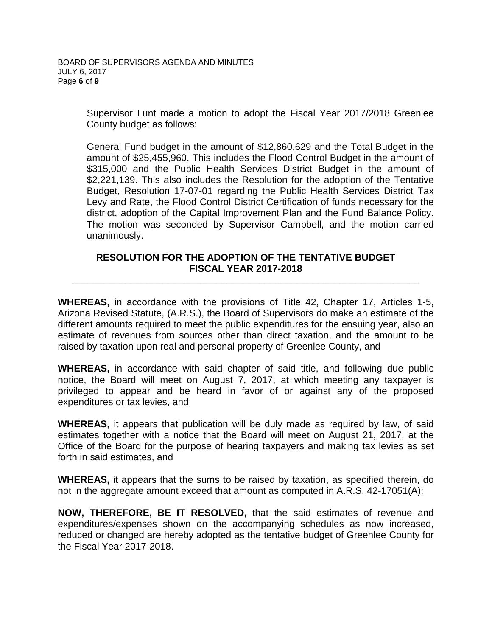Supervisor Lunt made a motion to adopt the Fiscal Year 2017/2018 Greenlee County budget as follows:

General Fund budget in the amount of \$12,860,629 and the Total Budget in the amount of \$25,455,960. This includes the Flood Control Budget in the amount of \$315,000 and the Public Health Services District Budget in the amount of \$2,221,139. This also includes the Resolution for the adoption of the Tentative Budget, Resolution 17-07-01 regarding the Public Health Services District Tax Levy and Rate, the Flood Control District Certification of funds necessary for the district, adoption of the Capital Improvement Plan and the Fund Balance Policy. The motion was seconded by Supervisor Campbell, and the motion carried unanimously.

## **RESOLUTION FOR THE ADOPTION OF THE TENTATIVE BUDGET FISCAL YEAR 2017-2018**

**\_\_\_\_\_\_\_\_\_\_\_\_\_\_\_\_\_\_\_\_\_\_\_\_\_\_\_\_\_\_\_\_\_\_\_\_\_\_\_\_\_\_\_\_\_\_\_\_\_\_\_\_\_\_\_\_\_\_\_\_\_\_\_\_\_**

**WHEREAS,** in accordance with the provisions of Title 42, Chapter 17, Articles 1-5, Arizona Revised Statute, (A.R.S.), the Board of Supervisors do make an estimate of the different amounts required to meet the public expenditures for the ensuing year, also an estimate of revenues from sources other than direct taxation, and the amount to be raised by taxation upon real and personal property of Greenlee County, and

**WHEREAS,** in accordance with said chapter of said title, and following due public notice, the Board will meet on August 7, 2017, at which meeting any taxpayer is privileged to appear and be heard in favor of or against any of the proposed expenditures or tax levies, and

**WHEREAS,** it appears that publication will be duly made as required by law, of said estimates together with a notice that the Board will meet on August 21, 2017, at the Office of the Board for the purpose of hearing taxpayers and making tax levies as set forth in said estimates, and

**WHEREAS,** it appears that the sums to be raised by taxation, as specified therein, do not in the aggregate amount exceed that amount as computed in A.R.S. 42-17051(A);

**NOW, THEREFORE, BE IT RESOLVED,** that the said estimates of revenue and expenditures/expenses shown on the accompanying schedules as now increased, reduced or changed are hereby adopted as the tentative budget of Greenlee County for the Fiscal Year 2017-2018.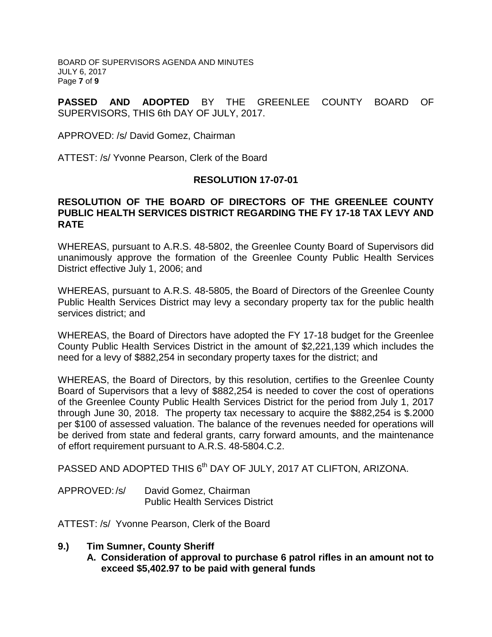BOARD OF SUPERVISORS AGENDA AND MINUTES JULY 6, 2017 Page **7** of **9**

**PASSED AND ADOPTED** BY THE GREENLEE COUNTY BOARD OF SUPERVISORS, THIS 6th DAY OF JULY, 2017.

APPROVED: /s/ David Gomez, Chairman

ATTEST: /s/ Yvonne Pearson, Clerk of the Board

#### **RESOLUTION 17-07-01**

#### **RESOLUTION OF THE BOARD OF DIRECTORS OF THE GREENLEE COUNTY PUBLIC HEALTH SERVICES DISTRICT REGARDING THE FY 17-18 TAX LEVY AND RATE**

WHEREAS, pursuant to A.R.S. 48-5802, the Greenlee County Board of Supervisors did unanimously approve the formation of the Greenlee County Public Health Services District effective July 1, 2006; and

WHEREAS, pursuant to A.R.S. 48-5805, the Board of Directors of the Greenlee County Public Health Services District may levy a secondary property tax for the public health services district; and

WHEREAS, the Board of Directors have adopted the FY 17-18 budget for the Greenlee County Public Health Services District in the amount of \$2,221,139 which includes the need for a levy of \$882,254 in secondary property taxes for the district; and

WHEREAS, the Board of Directors, by this resolution, certifies to the Greenlee County Board of Supervisors that a levy of \$882,254 is needed to cover the cost of operations of the Greenlee County Public Health Services District for the period from July 1, 2017 through June 30, 2018. The property tax necessary to acquire the \$882,254 is \$.2000 per \$100 of assessed valuation. The balance of the revenues needed for operations will be derived from state and federal grants, carry forward amounts, and the maintenance of effort requirement pursuant to A.R.S. 48-5804.C.2.

PASSED AND ADOPTED THIS 6<sup>th</sup> DAY OF JULY, 2017 AT CLIFTON, ARIZONA.

APPROVED: /s/ David Gomez, Chairman Public Health Services District

ATTEST: /s/ Yvonne Pearson, Clerk of the Board

- **9.) Tim Sumner, County Sheriff**
	- **A. Consideration of approval to purchase 6 patrol rifles in an amount not to exceed \$5,402.97 to be paid with general funds**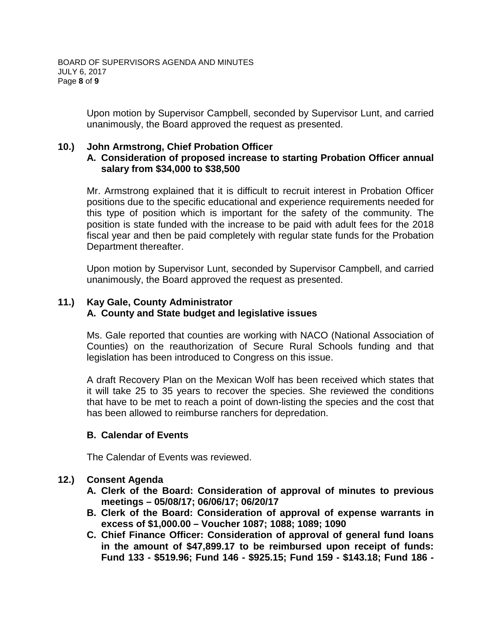Upon motion by Supervisor Campbell, seconded by Supervisor Lunt, and carried unanimously, the Board approved the request as presented.

## **10.) John Armstrong, Chief Probation Officer**

## **A. Consideration of proposed increase to starting Probation Officer annual salary from \$34,000 to \$38,500**

Mr. Armstrong explained that it is difficult to recruit interest in Probation Officer positions due to the specific educational and experience requirements needed for this type of position which is important for the safety of the community. The position is state funded with the increase to be paid with adult fees for the 2018 fiscal year and then be paid completely with regular state funds for the Probation Department thereafter.

Upon motion by Supervisor Lunt, seconded by Supervisor Campbell, and carried unanimously, the Board approved the request as presented.

# **11.) Kay Gale, County Administrator A. County and State budget and legislative issues**

Ms. Gale reported that counties are working with NACO (National Association of Counties) on the reauthorization of Secure Rural Schools funding and that legislation has been introduced to Congress on this issue.

A draft Recovery Plan on the Mexican Wolf has been received which states that it will take 25 to 35 years to recover the species. She reviewed the conditions that have to be met to reach a point of down-listing the species and the cost that has been allowed to reimburse ranchers for depredation.

## **B. Calendar of Events**

The Calendar of Events was reviewed.

# **12.) Consent Agenda**

- **A. Clerk of the Board: Consideration of approval of minutes to previous meetings – 05/08/17; 06/06/17; 06/20/17**
- **B. Clerk of the Board: Consideration of approval of expense warrants in excess of \$1,000.00 – Voucher 1087; 1088; 1089; 1090**
- **C. Chief Finance Officer: Consideration of approval of general fund loans in the amount of \$47,899.17 to be reimbursed upon receipt of funds: Fund 133 - \$519.96; Fund 146 - \$925.15; Fund 159 - \$143.18; Fund 186 -**